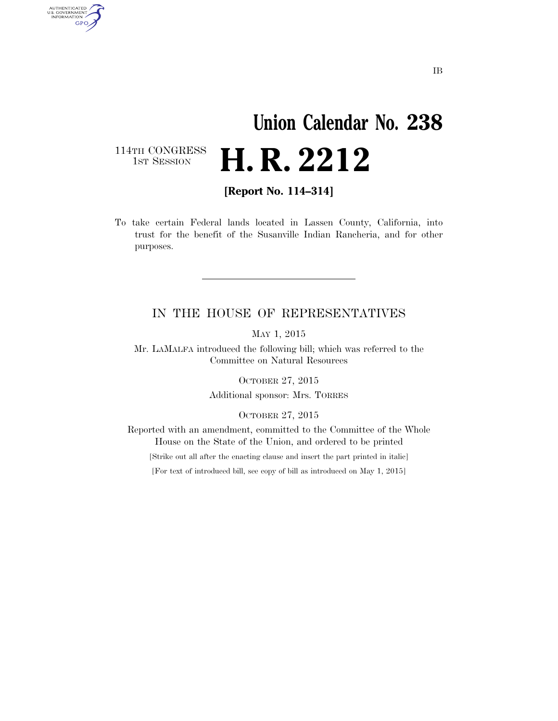## **Union Calendar No. 238**  H. R. 2212

114TH CONGRESS<br>1ST SESSION

AUTHENTICATED<br>U.S. GOVERNMENT<br>INFORMATION

**GPO** 

**[Report No. 114–314]** 

To take certain Federal lands located in Lassen County, California, into trust for the benefit of the Susanville Indian Rancheria, and for other purposes.

## IN THE HOUSE OF REPRESENTATIVES

MAY 1, 2015

Mr. LAMALFA introduced the following bill; which was referred to the Committee on Natural Resources

OCTOBER 27, 2015

Additional sponsor: Mrs. TORRES

OCTOBER 27, 2015

Reported with an amendment, committed to the Committee of the Whole House on the State of the Union, and ordered to be printed

[Strike out all after the enacting clause and insert the part printed in italic]

[For text of introduced bill, see copy of bill as introduced on May 1, 2015]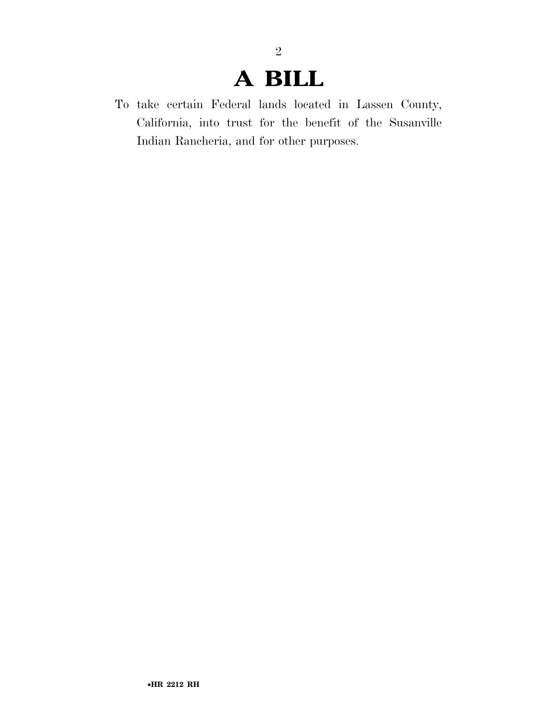## **A BILL**

2

To take certain Federal lands located in Lassen County, California, into trust for the benefit of the Susanville Indian Rancheria, and for other purposes.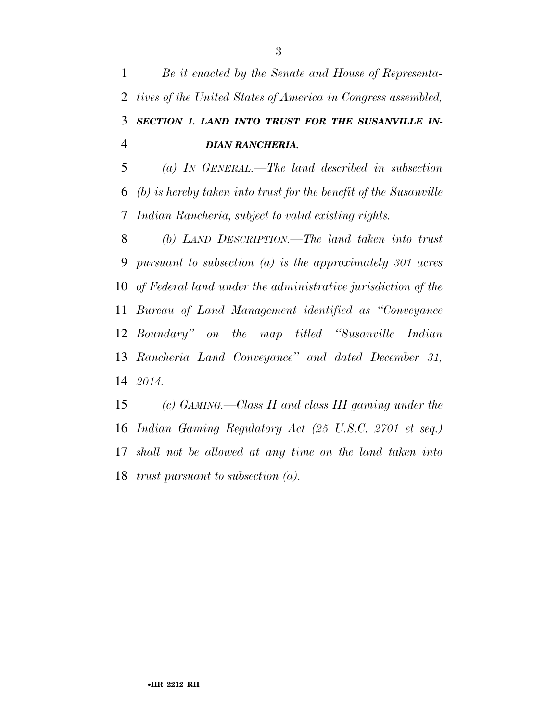*Be it enacted by the Senate and House of Representa- tives of the United States of America in Congress assembled, SECTION 1. LAND INTO TRUST FOR THE SUSANVILLE IN-DIAN RANCHERIA.* 

 *(a) IN GENERAL.—The land described in subsection (b) is hereby taken into trust for the benefit of the Susanville Indian Rancheria, subject to valid existing rights.* 

 *(b) LAND DESCRIPTION.—The land taken into trust pursuant to subsection (a) is the approximately 301 acres of Federal land under the administrative jurisdiction of the Bureau of Land Management identified as ''Conveyance Boundary'' on the map titled ''Susanville Indian Rancheria Land Conveyance'' and dated December 31, 2014.* 

 *(c) GAMING.—Class II and class III gaming under the Indian Gaming Regulatory Act (25 U.S.C. 2701 et seq.) shall not be allowed at any time on the land taken into trust pursuant to subsection (a).*